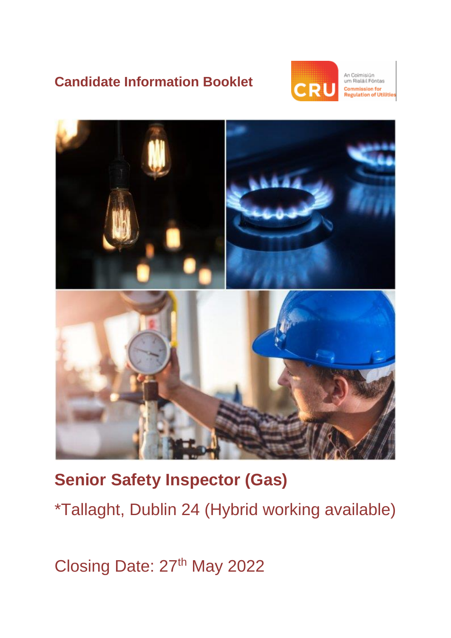## **Candidate Information Booklet**



An Coimisiún um Rialáil Fóntas mmission for<br>gulation of Utilities



# **Senior Safety Inspector (Gas)**  \*Tallaght, Dublin 24 (Hybrid working available)

Closing Date: 27<sup>th</sup> May 2022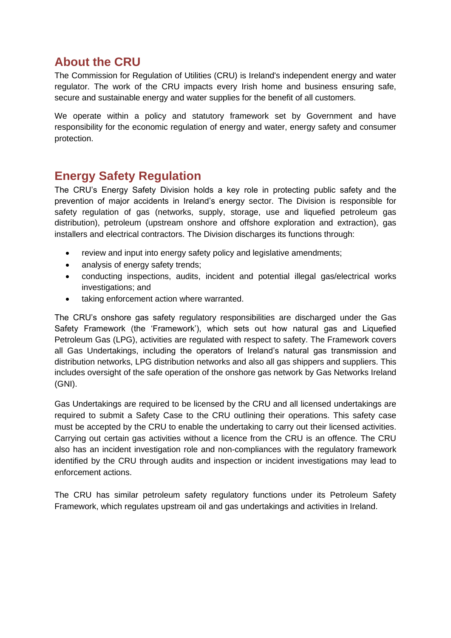## **About the CRU**

The Commission for Regulation of Utilities (CRU) is Ireland's independent energy and water regulator. The work of the CRU impacts every Irish home and business ensuring safe, secure and sustainable energy and water supplies for the benefit of all customers.

We operate within a policy and statutory framework set by Government and have responsibility for the economic regulation of energy and water, energy safety and consumer protection.

## **Energy Safety Regulation**

The CRU's Energy Safety Division holds a key role in protecting public safety and the prevention of major accidents in Ireland's energy sector. The Division is responsible for safety regulation of gas (networks, supply, storage, use and liquefied petroleum gas distribution), petroleum (upstream onshore and offshore exploration and extraction), gas installers and electrical contractors. The Division discharges its functions through:

- review and input into energy safety policy and legislative amendments;
- analysis of energy safety trends;
- conducting inspections, audits, incident and potential illegal gas/electrical works investigations; and
- taking enforcement action where warranted.

The CRU's onshore gas safety regulatory responsibilities are discharged under the Gas Safety Framework (the 'Framework'), which sets out how natural gas and Liquefied Petroleum Gas (LPG), activities are regulated with respect to safety. The Framework covers all Gas Undertakings, including the operators of Ireland's natural gas transmission and distribution networks, LPG distribution networks and also all gas shippers and suppliers. This includes oversight of the safe operation of the onshore gas network by Gas Networks Ireland (GNI).

Gas Undertakings are required to be licensed by the CRU and all licensed undertakings are required to submit a Safety Case to the CRU outlining their operations. This safety case must be accepted by the CRU to enable the undertaking to carry out their licensed activities. Carrying out certain gas activities without a licence from the CRU is an offence. The CRU also has an incident investigation role and non-compliances with the regulatory framework identified by the CRU through audits and inspection or incident investigations may lead to enforcement actions.

The CRU has similar petroleum safety regulatory functions under its Petroleum Safety Framework, which regulates upstream oil and gas undertakings and activities in Ireland.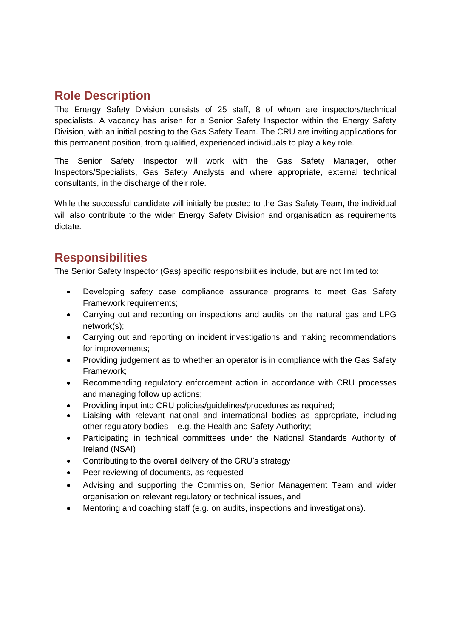## **Role Description**

The Energy Safety Division consists of 25 staff, 8 of whom are inspectors/technical specialists. A vacancy has arisen for a Senior Safety Inspector within the Energy Safety Division, with an initial posting to the Gas Safety Team. The CRU are inviting applications for this permanent position, from qualified, experienced individuals to play a key role.

The Senior Safety Inspector will work with the Gas Safety Manager, other Inspectors/Specialists, Gas Safety Analysts and where appropriate, external technical consultants, in the discharge of their role.

While the successful candidate will initially be posted to the Gas Safety Team, the individual will also contribute to the wider Energy Safety Division and organisation as requirements dictate.

## **Responsibilities**

The Senior Safety Inspector (Gas) specific responsibilities include, but are not limited to:

- Developing safety case compliance assurance programs to meet Gas Safety Framework requirements;
- Carrying out and reporting on inspections and audits on the natural gas and LPG network(s);
- Carrying out and reporting on incident investigations and making recommendations for improvements;
- Providing judgement as to whether an operator is in compliance with the Gas Safety Framework;
- Recommending regulatory enforcement action in accordance with CRU processes and managing follow up actions;
- Providing input into CRU policies/guidelines/procedures as required;
- Liaising with relevant national and international bodies as appropriate, including other regulatory bodies – e.g. the Health and Safety Authority;
- Participating in technical committees under the National Standards Authority of Ireland (NSAI)
- Contributing to the overall delivery of the CRU's strategy
- Peer reviewing of documents, as requested
- Advising and supporting the Commission, Senior Management Team and wider organisation on relevant regulatory or technical issues, and
- Mentoring and coaching staff (e.g. on audits, inspections and investigations).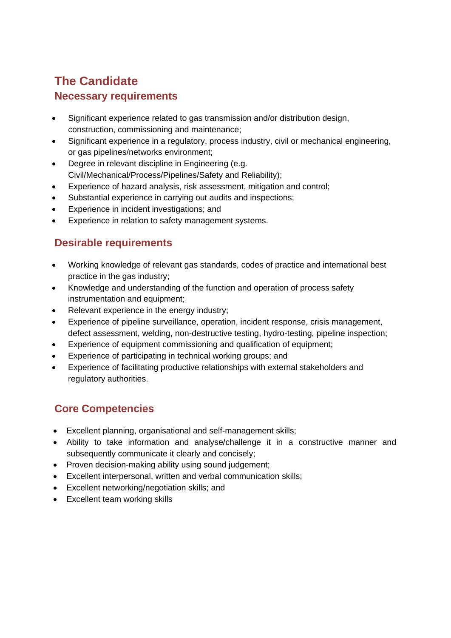## **The Candidate Necessary requirements**

- Significant experience related to gas transmission and/or distribution design, construction, commissioning and maintenance;
- Significant experience in a regulatory, process industry, civil or mechanical engineering, or gas pipelines/networks environment;
- Degree in relevant discipline in Engineering (e.g. Civil/Mechanical/Process/Pipelines/Safety and Reliability);
- Experience of hazard analysis, risk assessment, mitigation and control;
- Substantial experience in carrying out audits and inspections:
- Experience in incident investigations; and
- Experience in relation to safety management systems.

## **Desirable requirements**

- Working knowledge of relevant gas standards, codes of practice and international best practice in the gas industry;
- Knowledge and understanding of the function and operation of process safety instrumentation and equipment;
- Relevant experience in the energy industry;
- Experience of pipeline surveillance, operation, incident response, crisis management, defect assessment, welding, non-destructive testing, hydro-testing, pipeline inspection;
- Experience of equipment commissioning and qualification of equipment;
- Experience of participating in technical working groups; and
- Experience of facilitating productive relationships with external stakeholders and regulatory authorities.

## **Core Competencies**

- Excellent planning, organisational and self-management skills;
- Ability to take information and analyse/challenge it in a constructive manner and subsequently communicate it clearly and concisely:
- Proven decision-making ability using sound judgement;
- Excellent interpersonal, written and verbal communication skills;
- Excellent networking/negotiation skills; and
- Excellent team working skills